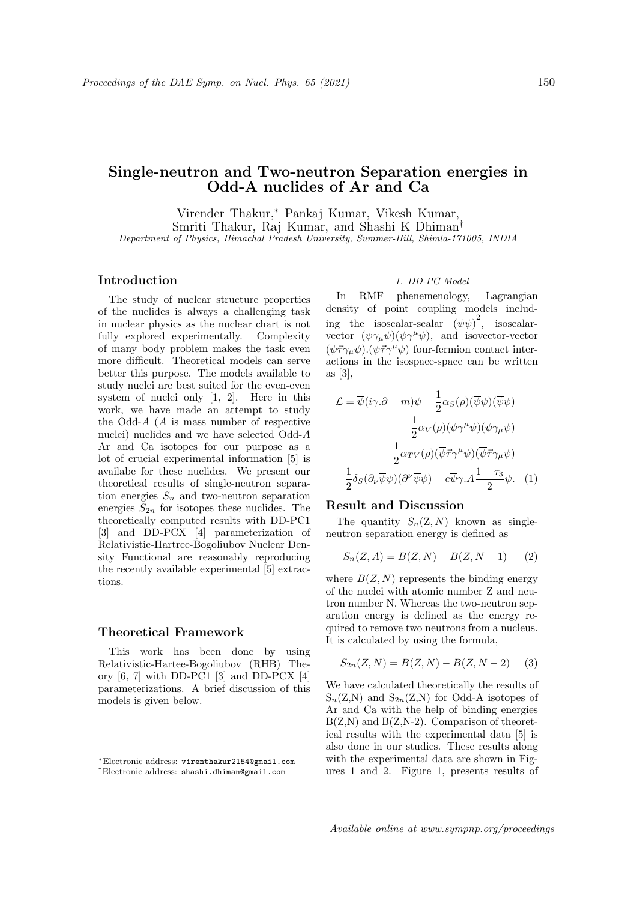# Single-neutron and Two-neutron Separation energies in Odd-A nuclides of Ar and Ca

Virender Thakur,<sup>∗</sup> Pankaj Kumar, Vikesh Kumar, Smriti Thakur, Raj Kumar, and Shashi K Dhiman† Department of Physics, Himachal Pradesh University, Summer-Hill, Shimla-171005, INDIA

# Introduction

The study of nuclear structure properties of the nuclides is always a challenging task in nuclear physics as the nuclear chart is not fully explored experimentally. Complexity of many body problem makes the task even more difficult. Theoretical models can serve better this purpose. The models available to study nuclei are best suited for the even-even system of nuclei only [1, 2]. Here in this work, we have made an attempt to study the Odd-A (A is mass number of respective nuclei) nuclides and we have selected Odd-A Ar and Ca isotopes for our purpose as a lot of crucial experimental information [5] is availabe for these nuclides. We present our theoretical results of single-neutron separation energies  $S_n$  and two-neutron separation energies  $S_{2n}$  for isotopes these nuclides. The theoretically computed results with DD-PC1 [3] and DD-PCX [4] parameterization of Relativistic-Hartree-Bogoliubov Nuclear Density Functional are reasonably reproducing the recently available experimental [5] extractions.

#### Theoretical Framework

This work has been done by using Relativistic-Hartee-Bogoliubov (RHB) Theory [6, 7] with DD-PC1 [3] and DD-PCX [4] parameterizations. A brief discussion of this models is given below.

## 1. DD-PC Model

In RMF phenemenology, Lagrangian density of point coupling models including the isoscalar-scalar  $(\overline{\psi}\psi)^2$ , isoscalarvector  $(\overline{\psi}\gamma_{\mu}\psi)(\overline{\psi}\gamma^{\mu}\psi)$ , and isovector-vector  $(\overline{\psi}\vec{\tau}\gamma_{\mu}\psi).(\overline{\psi}\vec{\tau}\gamma^{\mu}\psi)$  four-fermion contact interactions in the isospace-space can be written as [3],

$$
\mathcal{L} = \overline{\psi}(i\gamma \cdot \partial - m)\psi - \frac{1}{2}\alpha_S(\rho)(\overline{\psi}\psi)(\overline{\psi}\psi) \n- \frac{1}{2}\alpha_V(\rho)(\overline{\psi}\gamma^{\mu}\psi)(\overline{\psi}\gamma_{\mu}\psi) \n- \frac{1}{2}\alpha_{TV}(\rho)(\overline{\psi}\vec{\tau}\gamma^{\mu}\psi)(\overline{\psi}\vec{\tau}\gamma_{\mu}\psi) \n- \frac{1}{2}\delta_S(\partial_{\nu}\overline{\psi}\psi)(\partial^{\nu}\overline{\psi}\psi) - e\overline{\psi}\gamma \cdot A \frac{1 - \tau_3}{2}\psi.
$$
 (1)

### Result and Discussion

The quantity  $S_n(Z, N)$  known as singleneutron separation energy is defined as

$$
S_n(Z, A) = B(Z, N) - B(Z, N - 1)
$$
 (2)

where  $B(Z, N)$  represents the binding energy of the nuclei with atomic number Z and neutron number N. Whereas the two-neutron separation energy is defined as the energy required to remove two neutrons from a nucleus. It is calculated by using the formula,

$$
S_{2n}(Z, N) = B(Z, N) - B(Z, N - 2)
$$
 (3)

We have calculated theoretically the results of  $S_n(Z,N)$  and  $S_{2n}(Z,N)$  for Odd-A isotopes of Ar and Ca with the help of binding energies  $B(Z,N)$  and  $B(Z,N-2)$ . Comparison of theoretical results with the experimental data [5] is also done in our studies. These results along with the experimental data are shown in Figures 1 and 2. Figure 1, presents results of

<sup>∗</sup>Electronic address: virenthakur2154@gmail.com †Electronic address: shashi.dhiman@gmail.com